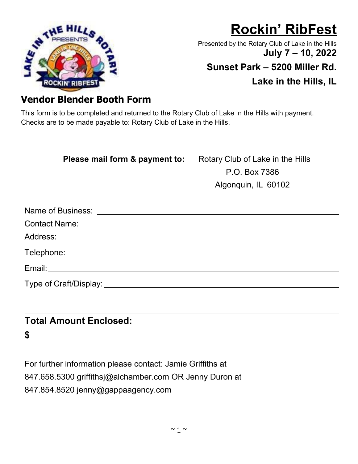

# **Rockin' RibFest**

Presented by the Rotary Club of Lake in the Hills **July 7 – 10, 2022**

**Sunset Park – 5200 Miller Rd.** 

**Lake in the Hills, IL** 

## **Vendor Blender Booth Form**

This form is to be completed and returned to the Rotary Club of Lake in the Hills with payment. Checks are to be made payable to: Rotary Club of Lake in the Hills.

#### **Please mail form & payment to:** Rotary Club of Lake in the Hills

P.O. Box 7386 Algonquin, IL 60102

### **Total Amount Enclosed:**

**\$** 

For further information please contact: Jamie Griffiths at

847.658.5300 griffithsj@alchamber.com OR Jenny Duron at

847.854.8520 jenny@gappaagency.com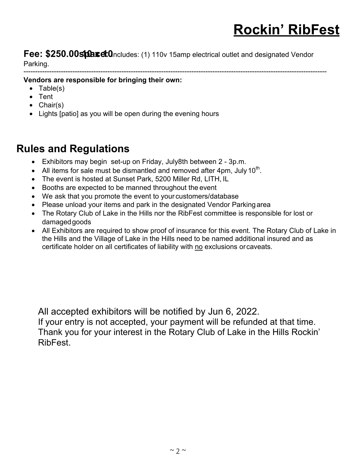**Fee: \$250.00 stace: 0**Includes: (1) 110v 15amp electrical outlet and designated Vendor Parking.

----------------------------------------------------------------------------------------------------------------------------------

**Vendors are responsible for bringing their own:**

- Table(s)
- Tent
- Chair(s)
- Lights [patio] as you will be open during the evening hours

## **Rules and Regulations**

- Exhibitors may begin set-up on Friday, July8th between  $2 3p.m$ .
- All items for sale must be dismantled and removed after 4pm, July 10<sup>th</sup>.
- The event is hosted at Sunset Park, 5200 Miller Rd, LITH, IL
- Booths are expected to be manned throughout the event
- We ask that you promote the event to your customers/database
- Please unload your items and park in the designated Vendor Parking area
- The Rotary Club of Lake in the Hills nor the RibFest committee is responsible for lost or damaged goods
- All Exhibitors are required to show proof of insurance for this event. The Rotary Club of Lake in the Hills and the Village of Lake in the Hills need to be named additional insured and as certificate holder on all certificates of liability with no exclusions or caveats.

All accepted exhibitors will be notified by Jun 6, 2022. If your entry is not accepted, your payment will be refunded at that time. Thank you for your interest in the Rotary Club of Lake in the Hills Rockin' RibFest.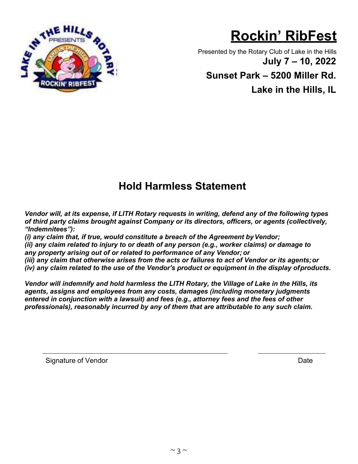

# **Rockin' RibFest**

Presented by the Rotary Club of Lake in the Hills **July 7 – 10, 2022**

**Sunset Park – 5200 Miller Rd.** 

**Lake in the Hills, IL** 

## **Hold Harmless Statement**

*Vendor will, at its expense, if LITH Rotary requests in writing, defend any of the following types of third party claims brought against Company or its directors, officers, or agents (collectively, "Indemnitees"):* 

*(i) any claim that, if true, would constitute a breach of the Agreement by Vendor; (ii) any claim related to injury to or death of any person (e.g., worker claims) or damage to any property arising out of or related to performance of any Vendor; or*

*(iii) any claim that otherwise arises from the acts or failures to act of Vendor or its agents; or (iv) any claim related to the use of the Vendor's product or equipment in the display of products.*

*Vendor will indemnify and hold harmless the LITH Rotary, the Village of Lake in the Hills, its agents, assigns and employees from any costs, damages (including monetary judgments entered in conjunction with a lawsuit) and fees (e.g., attorney fees and the fees of other professionals), reasonably incurred by any of them that are attributable to any such claim.* 

Signature of Vendor Date **Date**